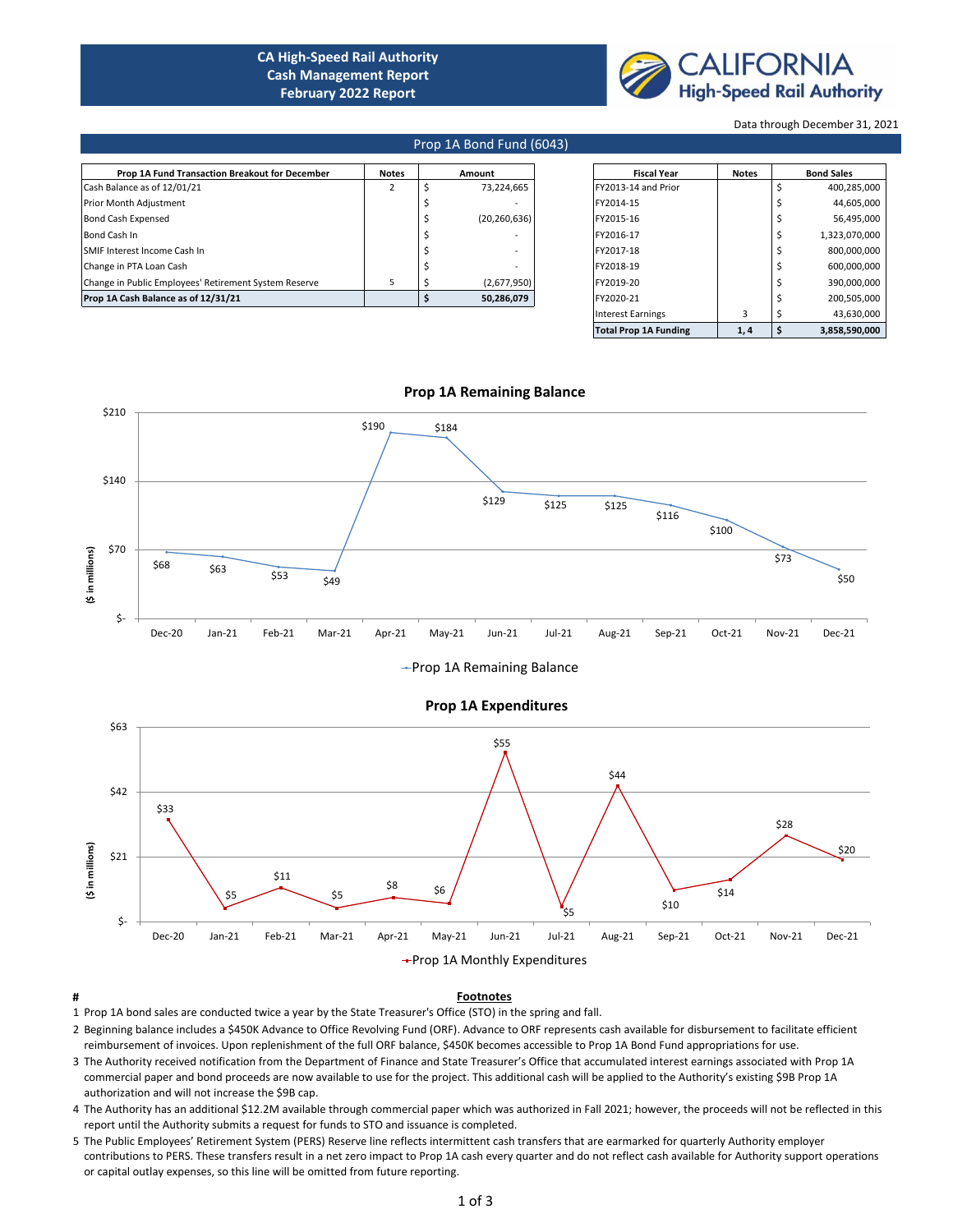# **CA High-Speed Rail Authority Cash Management Report February 2022 Report**



Data through December 31, 2021

## Prop 1A Bond Fund (6043)

| Prop 1A Fund Transaction Breakout for December        | <b>Notes</b> | Amount         | <b>Fiscal Year</b>  | <b>Notes</b> | <b>Bond Sales</b> |
|-------------------------------------------------------|--------------|----------------|---------------------|--------------|-------------------|
| Cash Balance as of 12/01/21                           |              | 73,224,665     | FY2013-14 and Prior |              | 400,285,000       |
| Prior Month Adjustment                                |              |                | FY2014-15           |              | 44,605,000        |
| <b>Bond Cash Expensed</b>                             |              | (20, 260, 636) | FY2015-16           |              | 56,495,000        |
| Bond Cash In                                          |              |                | FY2016-17           |              | 1,323,070,000     |
| SMIF Interest Income Cash In                          |              |                | FY2017-18           |              | 800,000,000       |
| Change in PTA Loan Cash                               |              |                | FY2018-19           |              | 600,000,000       |
| Change in Public Employees' Retirement System Reserve |              | (2,677,950)    | FY2019-20           |              | 390,000,000       |
| Prop 1A Cash Balance as of 12/31/21                   |              | 50,286,079     | FY2020-21           |              | 200,505,000       |
|                                                       |              |                | .                   |              | 10.00000          |

| <b>Fiscal Year</b>           | <b>Notes</b> | <b>Bond Sales</b> |               |  |  |
|------------------------------|--------------|-------------------|---------------|--|--|
| FY2013-14 and Prior          |              | Ś                 | 400,285,000   |  |  |
| FY2014-15                    |              | Ś                 | 44,605,000    |  |  |
| FY2015-16                    |              | \$                | 56,495,000    |  |  |
| FY2016-17                    |              | \$                | 1,323,070,000 |  |  |
| FY2017-18                    |              | Ś                 | 800,000,000   |  |  |
| FY2018-19                    |              | Ś                 | 600,000,000   |  |  |
| FY2019-20                    |              | Ś                 | 390.000.000   |  |  |
| FY2020-21                    |              | Ś                 | 200,505,000   |  |  |
| <b>Interest Earnings</b>     | 3            | Ś                 | 43,630,000    |  |  |
| <b>Total Prop 1A Funding</b> | 1,4          | \$                | 3.858.590.000 |  |  |



## **Prop 1A Remaining Balance**

+Prop 1A Remaining Balance



### **Prop 1A Expenditures**

### **# Footnotes**

- 1 Prop 1A bond sales are conducted twice a year by the State Treasurer's Office (STO) in the spring and fall.
- 2 Beginning balance includes a \$450K Advance to Office Revolving Fund (ORF). Advance to ORF represents cash available for disbursement to facilitate efficient reimbursement of invoices. Upon replenishment of the full ORF balance, \$450K becomes accessible to Prop 1A Bond Fund appropriations for use.
- 3 The Authority received notification from the Department of Finance and State Treasurer's Office that accumulated interest earnings associated with Prop 1A commercial paper and bond proceeds are now available to use for the project. This additional cash will be applied to the Authority's existing \$9B Prop 1A authorization and will not increase the \$9B cap.
- 4 The Authority has an additional \$12.2M available through commercial paper which was authorized in Fall 2021; however, the proceeds will not be reflected in this report until the Authority submits a request for funds to STO and issuance is completed.
- 5 The Public Employees' Retirement System (PERS) Reserve line reflects intermittent cash transfers that are earmarked for quarterly Authority employer contributions to PERS. These transfers result in a net zero impact to Prop 1A cash every quarter and do not reflect cash available for Authority support operations or capital outlay expenses, so this line will be omitted from future reporting.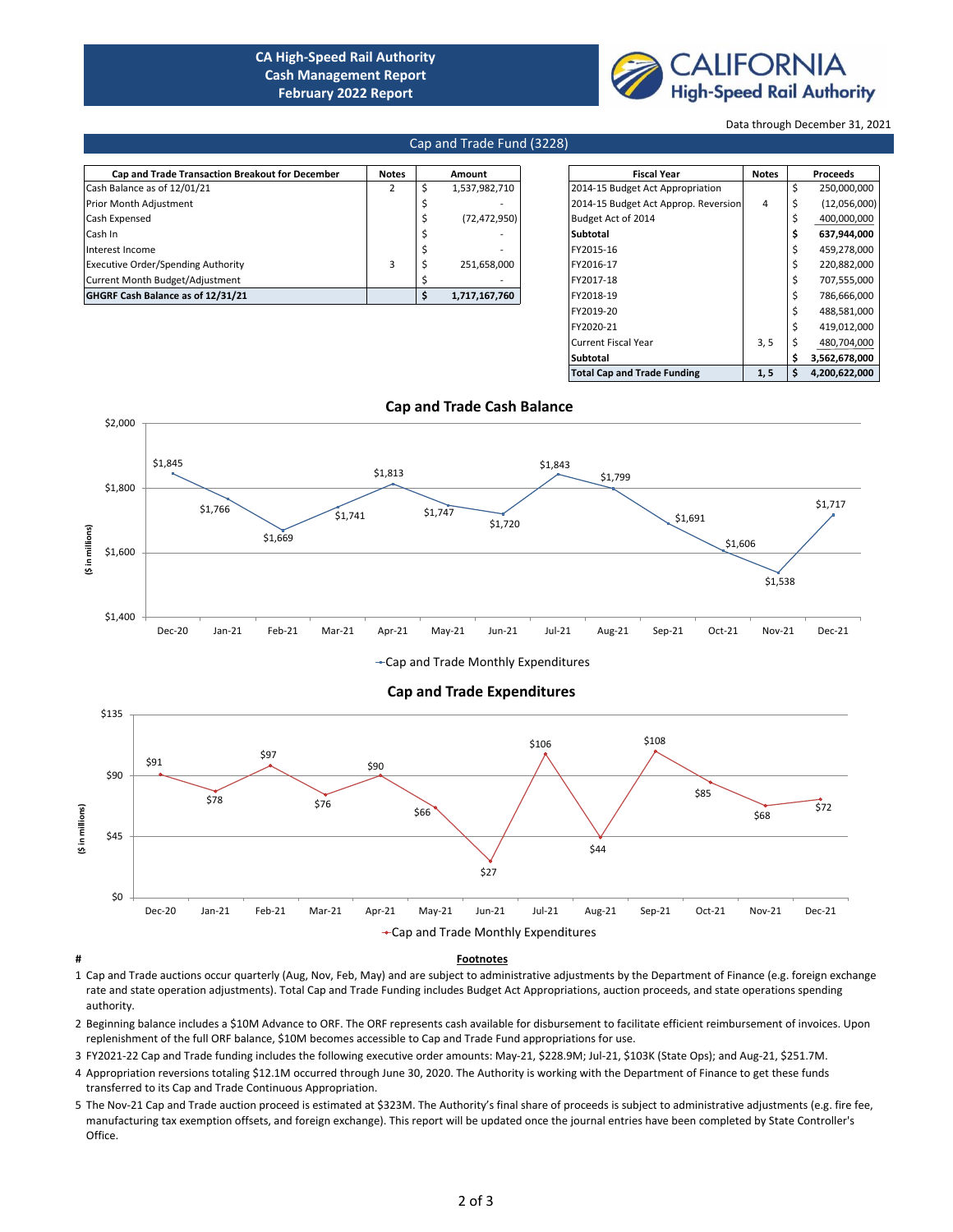# **CA High-Speed Rail Authority Cash Management Report February 2022 Report**



Data through December 31, 2021

## Cap and Trade Fund (3228)

| Cap and Trade Transaction Breakout for December | <b>Notes</b> | Amount         | <b>Fiscal Year</b>                   | <b>Notes</b> | Proceeds     |
|-------------------------------------------------|--------------|----------------|--------------------------------------|--------------|--------------|
| Cash Balance as of 12/01/21                     |              | 1,537,982,710  | 2014-15 Budget Act Appropriation     |              | 250,000,000  |
| Prior Month Adjustment                          |              |                | 2014-15 Budget Act Approp. Reversion | 4            | (12,056,000) |
| Cash Expensed                                   |              | (72, 472, 950) | Budget Act of 2014                   |              | 400,000,000  |
| Cash In                                         |              |                | Subtotal                             |              | 637,944,000  |
| Interest Income                                 |              |                | FY2015-16                            |              | 459,278,000  |
| <b>Executive Order/Spending Authority</b>       |              | 251,658,000    | FY2016-17                            |              | 220,882,000  |
| Current Month Budget/Adjustment                 |              |                | FY2017-18                            |              | 707,555,000  |
| GHGRF Cash Balance as of 12/31/21               |              | 1,717,167,760  | FY2018-19                            |              | 786,666,000  |
|                                                 |              |                | F122040.20                           |              | 100.501.000  |

| <b>Fiscal Year</b>                   | <b>Notes</b> |    | <b>Proceeds</b> |
|--------------------------------------|--------------|----|-----------------|
| 2014-15 Budget Act Appropriation     |              | \$ | 250,000,000     |
| 2014-15 Budget Act Approp. Reversion | 4            | \$ | (12,056,000)    |
| Budget Act of 2014                   |              | Ś  | 400.000.000     |
| Subtotal                             |              | \$ | 637,944,000     |
| FY2015-16                            |              | \$ | 459,278,000     |
| FY2016-17                            |              | Ś  | 220,882,000     |
| FY2017-18                            |              | \$ | 707,555,000     |
| FY2018-19                            |              | \$ | 786,666,000     |
| FY2019-20                            |              | \$ | 488,581,000     |
| FY2020-21                            |              | Ś  | 419,012,000     |
| <b>Current Fiscal Year</b>           | 3, 5         | \$ | 480,704,000     |
| <b>Subtotal</b>                      |              | \$ | 3,562,678,000   |
| <b>Total Cap and Trade Funding</b>   | 1, 5         | \$ | 4,200,622,000   |



\$0 Dec-20  $Jan-21$ Feb-21  $Mar-21$ Apr-21  $May-21$  $Jun-21$  $Jul-21$ Aug-21  $Sep-21$  $Oct-21$ **Nov-21** Dec-21 ← Cap and Trade Monthly Expenditures

\$27

\$44

\$45

### **# Footnotes**

- 1 Cap and Trade auctions occur quarterly (Aug, Nov, Feb, May) and are subject to administrative adjustments by the Department of Finance (e.g. foreign exchange rate and state operation adjustments). Total Cap and Trade Funding includes Budget Act Appropriations, auction proceeds, and state operations spending authority.
- 2 Beginning balance includes a \$10M Advance to ORF. The ORF represents cash available for disbursement to facilitate efficient reimbursement of invoices. Upon replenishment of the full ORF balance, \$10M becomes accessible to Cap and Trade Fund appropriations for use.
- 3 FY2021-22 Cap and Trade funding includes the following executive order amounts: May-21, \$228.9M; Jul-21, \$103K (State Ops); and Aug-21, \$251.7M.
- 4 Appropriation reversions totaling \$12.1M occurred through June 30, 2020. The Authority is working with the Department of Finance to get these funds transferred to its Cap and Trade Continuous Appropriation.
- 5 The Nov-21 Cap and Trade auction proceed is estimated at \$323M. The Authority's final share of proceeds is subject to administrative adjustments (e.g. fire fee, manufacturing tax exemption offsets, and foreign exchange). This report will be updated once the journal entries have been completed by State Controller's Office.